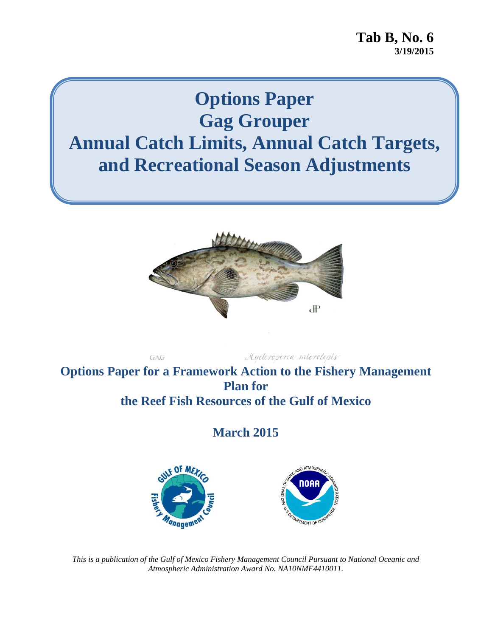# **Options Paper Gag Grouper Annual Catch Limits, Annual Catch Targets, and Recreational Season Adjustments**



Mycteroperca microlepis GAG **Options Paper for a Framework Action to the Fishery Management Plan for the Reef Fish Resources of the Gulf of Mexico** 

**March 2015** 



*This is a publication of the Gulf of Mexico Fishery Management Council Pursuant to National Oceanic and Atmospheric Administration Award No. NA10NMF4410011.*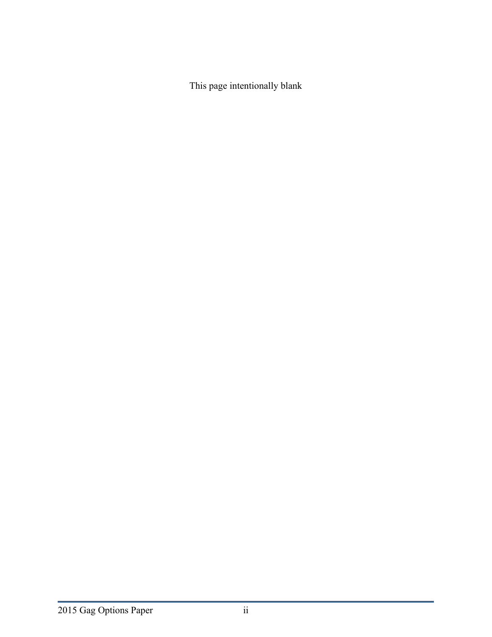This page intentionally blank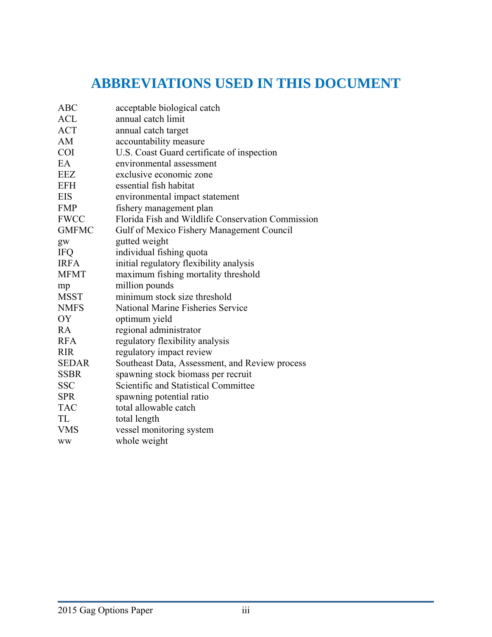# **ABBREVIATIONS USED IN THIS DOCUMENT**

| ABC          | acceptable biological catch                       |
|--------------|---------------------------------------------------|
| <b>ACL</b>   | annual catch limit                                |
| <b>ACT</b>   | annual catch target                               |
| AM           | accountability measure                            |
| <b>COI</b>   | U.S. Coast Guard certificate of inspection        |
| EA           | environmental assessment                          |
| EEZ          | exclusive economic zone                           |
| <b>EFH</b>   | essential fish habitat                            |
| <b>EIS</b>   | environmental impact statement                    |
| <b>FMP</b>   | fishery management plan                           |
| <b>FWCC</b>  | Florida Fish and Wildlife Conservation Commission |
| <b>GMFMC</b> | Gulf of Mexico Fishery Management Council         |
| gw           | gutted weight                                     |
| <b>IFQ</b>   | individual fishing quota                          |
| <b>IRFA</b>  | initial regulatory flexibility analysis           |
| <b>MFMT</b>  | maximum fishing mortality threshold               |
| mp           | million pounds                                    |
| <b>MSST</b>  | minimum stock size threshold                      |
| <b>NMFS</b>  | <b>National Marine Fisheries Service</b>          |
| OY           | optimum yield                                     |
| RA           | regional administrator                            |
| <b>RFA</b>   | regulatory flexibility analysis                   |
| <b>RIR</b>   | regulatory impact review                          |
| <b>SEDAR</b> | Southeast Data, Assessment, and Review process    |
| <b>SSBR</b>  | spawning stock biomass per recruit                |
| <b>SSC</b>   | Scientific and Statistical Committee              |
| <b>SPR</b>   | spawning potential ratio                          |
| <b>TAC</b>   | total allowable catch                             |
| TL           | total length                                      |
| <b>VMS</b>   | vessel monitoring system                          |
| <b>WW</b>    | whole weight                                      |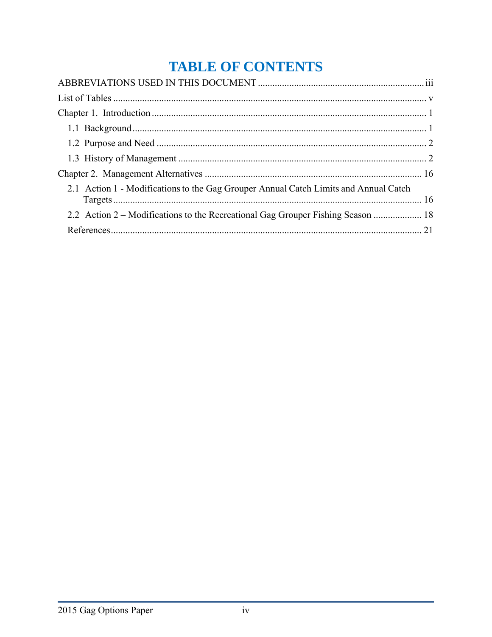# **TABLE OF CONTENTS**

| 2.1 Action 1 - Modifications to the Gag Grouper Annual Catch Limits and Annual Catch |  |
|--------------------------------------------------------------------------------------|--|
| 2.2 Action 2 – Modifications to the Recreational Gag Grouper Fishing Season  18      |  |
|                                                                                      |  |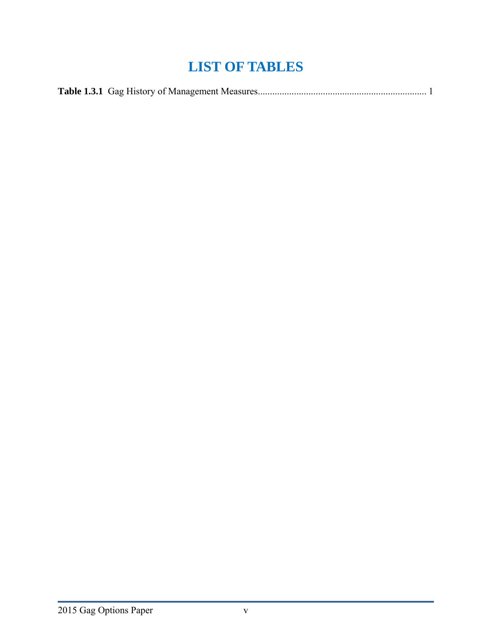# **LIST OF TABLES**

|--|--|--|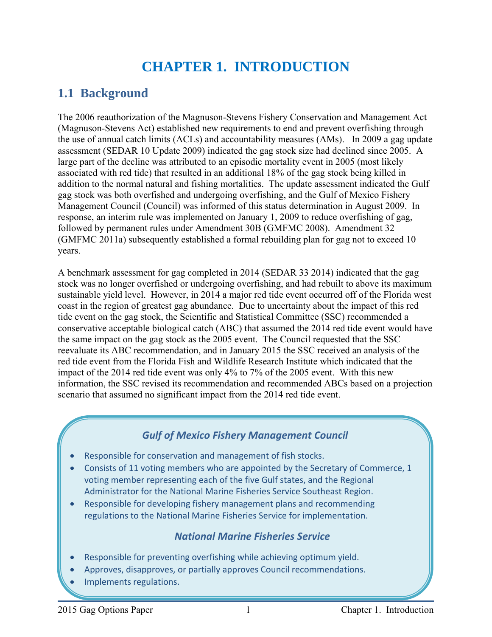# **CHAPTER 1. INTRODUCTION**

### **1.1 Background**

The 2006 reauthorization of the Magnuson-Stevens Fishery Conservation and Management Act (Magnuson-Stevens Act) established new requirements to end and prevent overfishing through the use of annual catch limits (ACLs) and accountability measures (AMs). In 2009 a gag update assessment (SEDAR 10 Update 2009) indicated the gag stock size had declined since 2005. A large part of the decline was attributed to an episodic mortality event in 2005 (most likely associated with red tide) that resulted in an additional 18% of the gag stock being killed in addition to the normal natural and fishing mortalities. The update assessment indicated the Gulf gag stock was both overfished and undergoing overfishing, and the Gulf of Mexico Fishery Management Council (Council) was informed of this status determination in August 2009. In response, an interim rule was implemented on January 1, 2009 to reduce overfishing of gag, followed by permanent rules under Amendment 30B (GMFMC 2008). Amendment 32 (GMFMC 2011a) subsequently established a formal rebuilding plan for gag not to exceed 10 years.

A benchmark assessment for gag completed in 2014 (SEDAR 33 2014) indicated that the gag stock was no longer overfished or undergoing overfishing, and had rebuilt to above its maximum sustainable yield level. However, in 2014 a major red tide event occurred off of the Florida west coast in the region of greatest gag abundance. Due to uncertainty about the impact of this red tide event on the gag stock, the Scientific and Statistical Committee (SSC) recommended a conservative acceptable biological catch (ABC) that assumed the 2014 red tide event would have the same impact on the gag stock as the 2005 event. The Council requested that the SSC reevaluate its ABC recommendation, and in January 2015 the SSC received an analysis of the red tide event from the Florida Fish and Wildlife Research Institute which indicated that the impact of the 2014 red tide event was only 4% to 7% of the 2005 event. With this new information, the SSC revised its recommendation and recommended ABCs based on a projection scenario that assumed no significant impact from the 2014 red tide event.

#### *Gulf of Mexico Fishery Management Council*

- Responsible for conservation and management of fish stocks.
- Consists of 11 voting members who are appointed by the Secretary of Commerce, 1 voting member representing each of the five Gulf states, and the Regional Administrator for the National Marine Fisheries Service Southeast Region.
- Responsible for developing fishery management plans and recommending regulations to the National Marine Fisheries Service for implementation.

#### *National Marine Fisheries Service*

- Responsible for preventing overfishing while achieving optimum yield.
- Approves, disapproves, or partially approves Council recommendations.
- Implements regulations.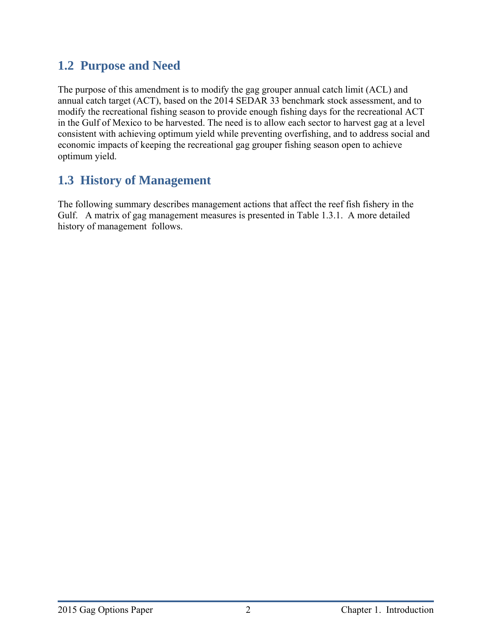### **1.2 Purpose and Need**

The purpose of this amendment is to modify the gag grouper annual catch limit (ACL) and annual catch target (ACT), based on the 2014 SEDAR 33 benchmark stock assessment, and to modify the recreational fishing season to provide enough fishing days for the recreational ACT in the Gulf of Mexico to be harvested. The need is to allow each sector to harvest gag at a level consistent with achieving optimum yield while preventing overfishing, and to address social and economic impacts of keeping the recreational gag grouper fishing season open to achieve optimum yield.

### **1.3 History of Management**

The following summary describes management actions that affect the reef fish fishery in the Gulf. A matrix of gag management measures is presented in Table 1.3.1. A more detailed history of management follows.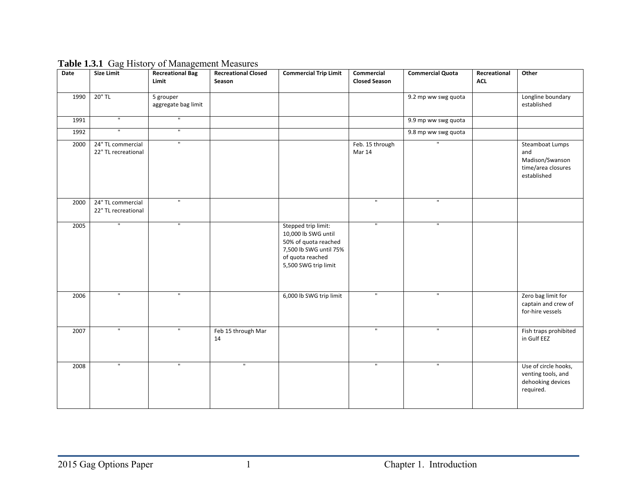| Date | <b>Size Limit</b>                        | <b>Recreational Bag</b>          | <b>Recreational Closed</b> | <b>Commercial Trip Limit</b>                                                                                                             | Commercial                | <b>Commercial Quota</b> | Recreational | Other                                                                          |
|------|------------------------------------------|----------------------------------|----------------------------|------------------------------------------------------------------------------------------------------------------------------------------|---------------------------|-------------------------|--------------|--------------------------------------------------------------------------------|
|      |                                          | Limit                            | Season                     |                                                                                                                                          | <b>Closed Season</b>      |                         | ACL          |                                                                                |
| 1990 | 20" TL                                   | 5 grouper<br>aggregate bag limit |                            |                                                                                                                                          |                           | 9.2 mp ww swg quota     |              | Longline boundary<br>established                                               |
| 1991 | $\mathbf{H}$                             | $\mathbf{H}$                     |                            |                                                                                                                                          |                           | 9.9 mp ww swg quota     |              |                                                                                |
| 1992 | $\mathbf{u}$                             | $\overline{\mathfrak{n}}$        |                            |                                                                                                                                          |                           | 9.8 mp ww swg quota     |              |                                                                                |
| 2000 | 24" TL commercial<br>22" TL recreational | $\mathbf{H}$                     |                            |                                                                                                                                          | Feb. 15 through<br>Mar 14 |                         |              | Steamboat Lumps<br>and<br>Madison/Swanson<br>time/area closures<br>established |
| 2000 | 24" TL commercial<br>22" TL recreational | $\mathbf{H}$                     |                            |                                                                                                                                          | $\mathbf{H}$              | $\mathbf{H}$            |              |                                                                                |
| 2005 | Ŧ                                        | $\overline{u}$                   |                            | Stepped trip limit:<br>10,000 lb SWG until<br>50% of quota reached<br>7,500 lb SWG until 75%<br>of quota reached<br>5,500 SWG trip limit | $\overline{ }$            | $\overline{ }$          |              |                                                                                |
| 2006 | $\mathbf{H}$                             | $\mathbf{H}$                     |                            | 6,000 lb SWG trip limit                                                                                                                  | $\mathbf{H}$              | $\mathbf{H}$            |              | Zero bag limit for<br>captain and crew of<br>for-hire vessels                  |
| 2007 | $\mathbf{H}$                             | $\mathbf{H}$                     | Feb 15 through Mar<br>14   |                                                                                                                                          | $\mathbf{H}$              | $\mathbf{H}$            |              | Fish traps prohibited<br>in Gulf EEZ                                           |
| 2008 | $\mathbf{H}$                             | $\mathbf{H}$                     | $\mathbf{H}$               |                                                                                                                                          | $\mathbf{H}$              | $\mathbf{H}$            |              | Use of circle hooks,<br>venting tools, and<br>dehooking devices<br>required.   |

**Table 1.3.1** Gag History of Management Measures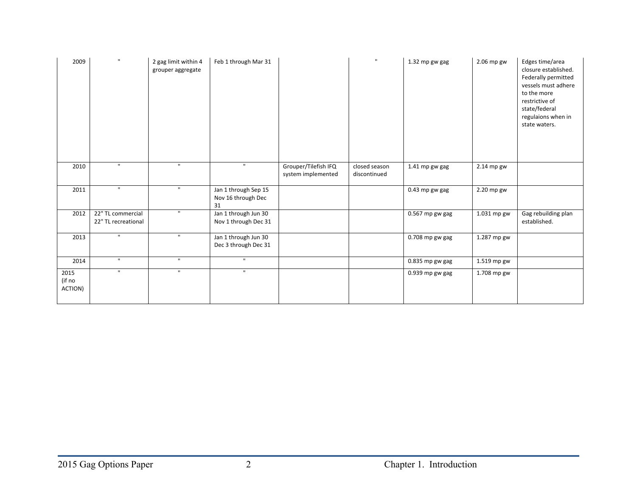| 2009                      | $\mathbf{H}$                             | 2 gag limit within 4<br>grouper aggregate | Feb 1 through Mar 31                             |                                            | $\mathbf{u}$                  | 1.32 mp gw gag  | 2.06 mp gw  | Edges time/area<br>closure established.<br>Federally permitted<br>vessels must adhere<br>to the more<br>restrictive of<br>state/federal<br>regulaions when in<br>state waters. |
|---------------------------|------------------------------------------|-------------------------------------------|--------------------------------------------------|--------------------------------------------|-------------------------------|-----------------|-------------|--------------------------------------------------------------------------------------------------------------------------------------------------------------------------------|
| 2010                      | $\mathbf{H}$                             | $\mathbf{H}$                              | $\mathbf{H}$ .                                   | Grouper/Tilefish IFQ<br>system implemented | closed season<br>discontinued | 1.41 mp gw gag  | 2.14 mp gw  |                                                                                                                                                                                |
| 2011                      | $\mathbf{H}$ .                           | $\mathbf{H}$                              | Jan 1 through Sep 15<br>Nov 16 through Dec<br>31 |                                            |                               | 0.43 mp gw gag  | 2.20 mp gw  |                                                                                                                                                                                |
| 2012                      | 22" TL commercial<br>22" TL recreational | $\mathbf{H}$                              | Jan 1 through Jun 30<br>Nov 1 through Dec 31     |                                            |                               | 0.567 mp gw gag | 1.031 mp gw | Gag rebuilding plan<br>established.                                                                                                                                            |
| 2013                      | $\mathbf{H}$                             | $\mathbf{H}$                              | Jan 1 through Jun 30<br>Dec 3 through Dec 31     |                                            |                               | 0.708 mp gw gag | 1.287 mp gw |                                                                                                                                                                                |
| 2014                      | $\mathbf{H}$                             | $\mathbf{H}$                              | $\mathbf{H}$ .                                   |                                            |                               | 0.835 mp gw gag | 1.519 mp gw |                                                                                                                                                                                |
| 2015<br>(if no<br>ACTION) | $\mathbf{H}$ .                           | $\mathbf{H}$                              | $\mathbf{H}$ .                                   |                                            |                               | 0.939 mp gw gag | 1.708 mp gw |                                                                                                                                                                                |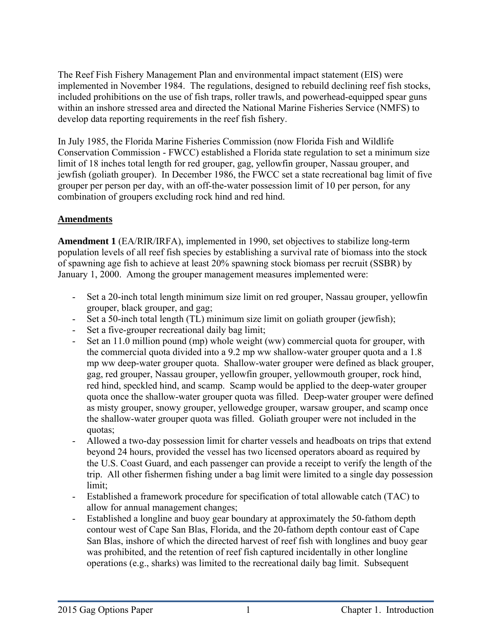The Reef Fish Fishery Management Plan and environmental impact statement (EIS) were implemented in November 1984. The regulations, designed to rebuild declining reef fish stocks, included prohibitions on the use of fish traps, roller trawls, and powerhead-equipped spear guns within an inshore stressed area and directed the National Marine Fisheries Service (NMFS) to develop data reporting requirements in the reef fish fishery.

In July 1985, the Florida Marine Fisheries Commission (now Florida Fish and Wildlife Conservation Commission - FWCC) established a Florida state regulation to set a minimum size limit of 18 inches total length for red grouper, gag, yellowfin grouper, Nassau grouper, and jewfish (goliath grouper). In December 1986, the FWCC set a state recreational bag limit of five grouper per person per day, with an off-the-water possession limit of 10 per person, for any combination of groupers excluding rock hind and red hind.

#### **Amendments**

**Amendment 1** (EA/RIR/IRFA), implemented in 1990, set objectives to stabilize long-term population levels of all reef fish species by establishing a survival rate of biomass into the stock of spawning age fish to achieve at least 20% spawning stock biomass per recruit (SSBR) by January 1, 2000. Among the grouper management measures implemented were:

- Set a 20-inch total length minimum size limit on red grouper, Nassau grouper, yellowfin grouper, black grouper, and gag;
- Set a 50-inch total length (TL) minimum size limit on goliath grouper (jewfish);
- Set a five-grouper recreational daily bag limit;
- Set an 11.0 million pound (mp) whole weight (ww) commercial quota for grouper, with the commercial quota divided into a 9.2 mp ww shallow-water grouper quota and a 1.8 mp ww deep-water grouper quota. Shallow-water grouper were defined as black grouper, gag, red grouper, Nassau grouper, yellowfin grouper, yellowmouth grouper, rock hind, red hind, speckled hind, and scamp. Scamp would be applied to the deep-water grouper quota once the shallow-water grouper quota was filled. Deep-water grouper were defined as misty grouper, snowy grouper, yellowedge grouper, warsaw grouper, and scamp once the shallow-water grouper quota was filled. Goliath grouper were not included in the quotas;
- Allowed a two-day possession limit for charter vessels and headboats on trips that extend beyond 24 hours, provided the vessel has two licensed operators aboard as required by the U.S. Coast Guard, and each passenger can provide a receipt to verify the length of the trip. All other fishermen fishing under a bag limit were limited to a single day possession limit;
- Established a framework procedure for specification of total allowable catch (TAC) to allow for annual management changes;
- Established a longline and buoy gear boundary at approximately the 50-fathom depth contour west of Cape San Blas, Florida, and the 20-fathom depth contour east of Cape San Blas, inshore of which the directed harvest of reef fish with longlines and buoy gear was prohibited, and the retention of reef fish captured incidentally in other longline operations (e.g., sharks) was limited to the recreational daily bag limit. Subsequent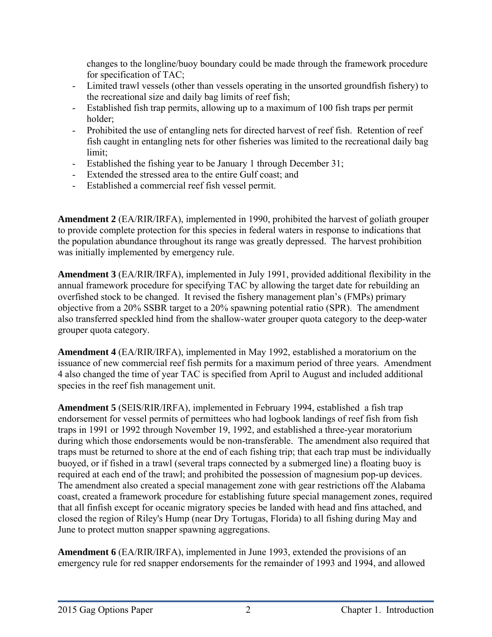changes to the longline/buoy boundary could be made through the framework procedure for specification of TAC;

- Limited trawl vessels (other than vessels operating in the unsorted groundfish fishery) to the recreational size and daily bag limits of reef fish;
- Established fish trap permits, allowing up to a maximum of 100 fish traps per permit holder;
- Prohibited the use of entangling nets for directed harvest of reef fish. Retention of reef fish caught in entangling nets for other fisheries was limited to the recreational daily bag limit;
- Established the fishing year to be January 1 through December 31;
- Extended the stressed area to the entire Gulf coast; and
- Established a commercial reef fish vessel permit.

**Amendment 2** (EA/RIR/IRFA), implemented in 1990, prohibited the harvest of goliath grouper to provide complete protection for this species in federal waters in response to indications that the population abundance throughout its range was greatly depressed. The harvest prohibition was initially implemented by emergency rule.

**Amendment 3** (EA/RIR/IRFA), implemented in July 1991, provided additional flexibility in the annual framework procedure for specifying TAC by allowing the target date for rebuilding an overfished stock to be changed. It revised the fishery management plan's (FMPs) primary objective from a 20% SSBR target to a 20% spawning potential ratio (SPR). The amendment also transferred speckled hind from the shallow-water grouper quota category to the deep-water grouper quota category.

**Amendment 4** (EA/RIR/IRFA), implemented in May 1992, established a moratorium on the issuance of new commercial reef fish permits for a maximum period of three years. Amendment 4 also changed the time of year TAC is specified from April to August and included additional species in the reef fish management unit.

**Amendment 5** (SEIS/RIR/IRFA), implemented in February 1994, established a fish trap endorsement for vessel permits of permittees who had logbook landings of reef fish from fish traps in 1991 or 1992 through November 19, 1992, and established a three-year moratorium during which those endorsements would be non-transferable. The amendment also required that traps must be returned to shore at the end of each fishing trip; that each trap must be individually buoyed, or if fished in a trawl (several traps connected by a submerged line) a floating buoy is required at each end of the trawl; and prohibited the possession of magnesium pop-up devices. The amendment also created a special management zone with gear restrictions off the Alabama coast, created a framework procedure for establishing future special management zones, required that all finfish except for oceanic migratory species be landed with head and fins attached, and closed the region of Riley's Hump (near Dry Tortugas, Florida) to all fishing during May and June to protect mutton snapper spawning aggregations.

**Amendment 6** (EA/RIR/IRFA), implemented in June 1993, extended the provisions of an emergency rule for red snapper endorsements for the remainder of 1993 and 1994, and allowed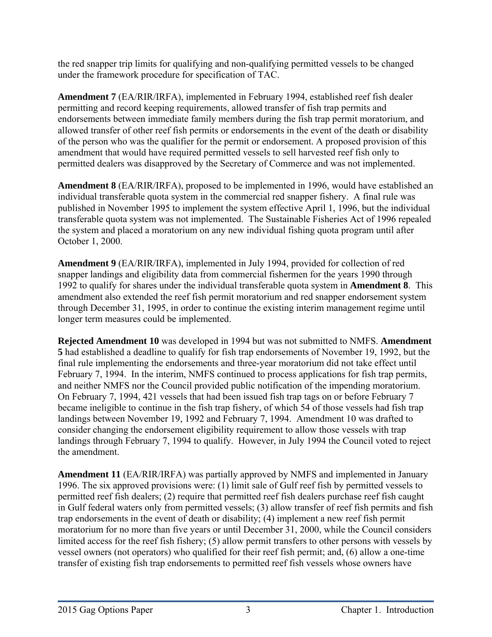the red snapper trip limits for qualifying and non-qualifying permitted vessels to be changed under the framework procedure for specification of TAC.

**Amendment 7** (EA/RIR/IRFA), implemented in February 1994, established reef fish dealer permitting and record keeping requirements, allowed transfer of fish trap permits and endorsements between immediate family members during the fish trap permit moratorium, and allowed transfer of other reef fish permits or endorsements in the event of the death or disability of the person who was the qualifier for the permit or endorsement. A proposed provision of this amendment that would have required permitted vessels to sell harvested reef fish only to permitted dealers was disapproved by the Secretary of Commerce and was not implemented.

**Amendment 8** (EA/RIR/IRFA), proposed to be implemented in 1996, would have established an individual transferable quota system in the commercial red snapper fishery. A final rule was published in November 1995 to implement the system effective April 1, 1996, but the individual transferable quota system was not implemented. The Sustainable Fisheries Act of 1996 repealed the system and placed a moratorium on any new individual fishing quota program until after October 1, 2000.

**Amendment 9** (EA/RIR/IRFA), implemented in July 1994, provided for collection of red snapper landings and eligibility data from commercial fishermen for the years 1990 through 1992 to qualify for shares under the individual transferable quota system in **Amendment 8**. This amendment also extended the reef fish permit moratorium and red snapper endorsement system through December 31, 1995, in order to continue the existing interim management regime until longer term measures could be implemented.

**Rejected Amendment 10** was developed in 1994 but was not submitted to NMFS. **Amendment 5** had established a deadline to qualify for fish trap endorsements of November 19, 1992, but the final rule implementing the endorsements and three-year moratorium did not take effect until February 7, 1994. In the interim, NMFS continued to process applications for fish trap permits, and neither NMFS nor the Council provided public notification of the impending moratorium. On February 7, 1994, 421 vessels that had been issued fish trap tags on or before February 7 became ineligible to continue in the fish trap fishery, of which 54 of those vessels had fish trap landings between November 19, 1992 and February 7, 1994. Amendment 10 was drafted to consider changing the endorsement eligibility requirement to allow those vessels with trap landings through February 7, 1994 to qualify. However, in July 1994 the Council voted to reject the amendment.

**Amendment 11** (EA/RIR/IRFA) was partially approved by NMFS and implemented in January 1996. The six approved provisions were: (1) limit sale of Gulf reef fish by permitted vessels to permitted reef fish dealers; (2) require that permitted reef fish dealers purchase reef fish caught in Gulf federal waters only from permitted vessels; (3) allow transfer of reef fish permits and fish trap endorsements in the event of death or disability; (4) implement a new reef fish permit moratorium for no more than five years or until December 31, 2000, while the Council considers limited access for the reef fish fishery; (5) allow permit transfers to other persons with vessels by vessel owners (not operators) who qualified for their reef fish permit; and, (6) allow a one-time transfer of existing fish trap endorsements to permitted reef fish vessels whose owners have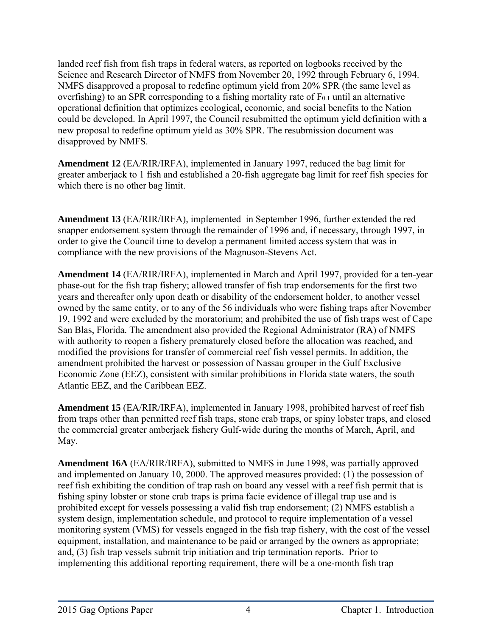landed reef fish from fish traps in federal waters, as reported on logbooks received by the Science and Research Director of NMFS from November 20, 1992 through February 6, 1994. NMFS disapproved a proposal to redefine optimum yield from 20% SPR (the same level as overfishing) to an SPR corresponding to a fishing mortality rate of  $F_{0,1}$  until an alternative operational definition that optimizes ecological, economic, and social benefits to the Nation could be developed. In April 1997, the Council resubmitted the optimum yield definition with a new proposal to redefine optimum yield as 30% SPR. The resubmission document was disapproved by NMFS.

**Amendment 12** (EA/RIR/IRFA), implemented in January 1997, reduced the bag limit for greater amberjack to 1 fish and established a 20-fish aggregate bag limit for reef fish species for which there is no other bag limit.

**Amendment 13** (EA/RIR/IRFA), implemented in September 1996, further extended the red snapper endorsement system through the remainder of 1996 and, if necessary, through 1997, in order to give the Council time to develop a permanent limited access system that was in compliance with the new provisions of the Magnuson-Stevens Act.

**Amendment 14** (EA/RIR/IRFA), implemented in March and April 1997, provided for a ten-year phase-out for the fish trap fishery; allowed transfer of fish trap endorsements for the first two years and thereafter only upon death or disability of the endorsement holder, to another vessel owned by the same entity, or to any of the 56 individuals who were fishing traps after November 19, 1992 and were excluded by the moratorium; and prohibited the use of fish traps west of Cape San Blas, Florida. The amendment also provided the Regional Administrator (RA) of NMFS with authority to reopen a fishery prematurely closed before the allocation was reached, and modified the provisions for transfer of commercial reef fish vessel permits. In addition, the amendment prohibited the harvest or possession of Nassau grouper in the Gulf Exclusive Economic Zone (EEZ), consistent with similar prohibitions in Florida state waters, the south Atlantic EEZ, and the Caribbean EEZ.

**Amendment 15** (EA/RIR/IRFA), implemented in January 1998, prohibited harvest of reef fish from traps other than permitted reef fish traps, stone crab traps, or spiny lobster traps, and closed the commercial greater amberjack fishery Gulf-wide during the months of March, April, and May.

**Amendment 16A** (EA/RIR/IRFA), submitted to NMFS in June 1998, was partially approved and implemented on January 10, 2000. The approved measures provided: (1) the possession of reef fish exhibiting the condition of trap rash on board any vessel with a reef fish permit that is fishing spiny lobster or stone crab traps is prima facie evidence of illegal trap use and is prohibited except for vessels possessing a valid fish trap endorsement; (2) NMFS establish a system design, implementation schedule, and protocol to require implementation of a vessel monitoring system (VMS) for vessels engaged in the fish trap fishery, with the cost of the vessel equipment, installation, and maintenance to be paid or arranged by the owners as appropriate; and, (3) fish trap vessels submit trip initiation and trip termination reports. Prior to implementing this additional reporting requirement, there will be a one-month fish trap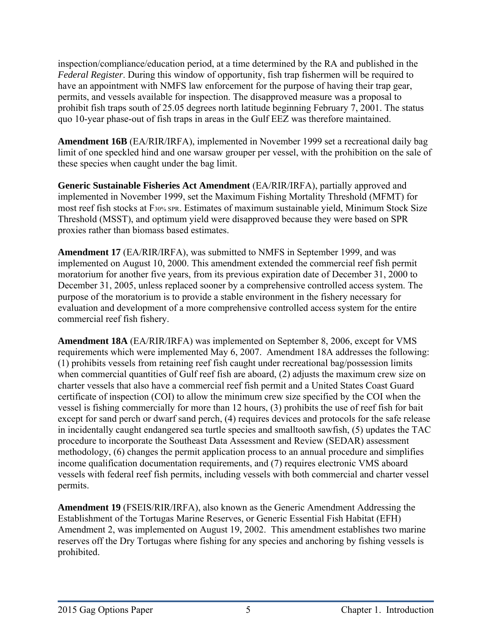inspection/compliance/education period, at a time determined by the RA and published in the *Federal Register*. During this window of opportunity, fish trap fishermen will be required to have an appointment with NMFS law enforcement for the purpose of having their trap gear, permits, and vessels available for inspection. The disapproved measure was a proposal to prohibit fish traps south of 25.05 degrees north latitude beginning February 7, 2001. The status quo 10-year phase-out of fish traps in areas in the Gulf EEZ was therefore maintained.

**Amendment 16B** (EA/RIR/IRFA), implemented in November 1999 set a recreational daily bag limit of one speckled hind and one warsaw grouper per vessel, with the prohibition on the sale of these species when caught under the bag limit.

**Generic Sustainable Fisheries Act Amendment** (EA/RIR/IRFA), partially approved and implemented in November 1999, set the Maximum Fishing Mortality Threshold (MFMT) for most reef fish stocks at F30% SPR. Estimates of maximum sustainable yield, Minimum Stock Size Threshold (MSST), and optimum yield were disapproved because they were based on SPR proxies rather than biomass based estimates.

**Amendment 17** (EA/RIR/IRFA), was submitted to NMFS in September 1999, and was implemented on August 10, 2000. This amendment extended the commercial reef fish permit moratorium for another five years, from its previous expiration date of December 31, 2000 to December 31, 2005, unless replaced sooner by a comprehensive controlled access system. The purpose of the moratorium is to provide a stable environment in the fishery necessary for evaluation and development of a more comprehensive controlled access system for the entire commercial reef fish fishery.

**Amendment 18A** (EA/RIR/IRFA) was implemented on September 8, 2006, except for VMS requirements which were implemented May 6, 2007. Amendment 18A addresses the following: (1) prohibits vessels from retaining reef fish caught under recreational bag/possession limits when commercial quantities of Gulf reef fish are aboard, (2) adjusts the maximum crew size on charter vessels that also have a commercial reef fish permit and a United States Coast Guard certificate of inspection (COI) to allow the minimum crew size specified by the COI when the vessel is fishing commercially for more than 12 hours, (3) prohibits the use of reef fish for bait except for sand perch or dwarf sand perch, (4) requires devices and protocols for the safe release in incidentally caught endangered sea turtle species and smalltooth sawfish, (5) updates the TAC procedure to incorporate the Southeast Data Assessment and Review (SEDAR) assessment methodology, (6) changes the permit application process to an annual procedure and simplifies income qualification documentation requirements, and (7) requires electronic VMS aboard vessels with federal reef fish permits, including vessels with both commercial and charter vessel permits.

**Amendment 19** (FSEIS/RIR/IRFA), also known as the Generic Amendment Addressing the Establishment of the Tortugas Marine Reserves, or Generic Essential Fish Habitat (EFH) Amendment 2, was implemented on August 19, 2002. This amendment establishes two marine reserves off the Dry Tortugas where fishing for any species and anchoring by fishing vessels is prohibited.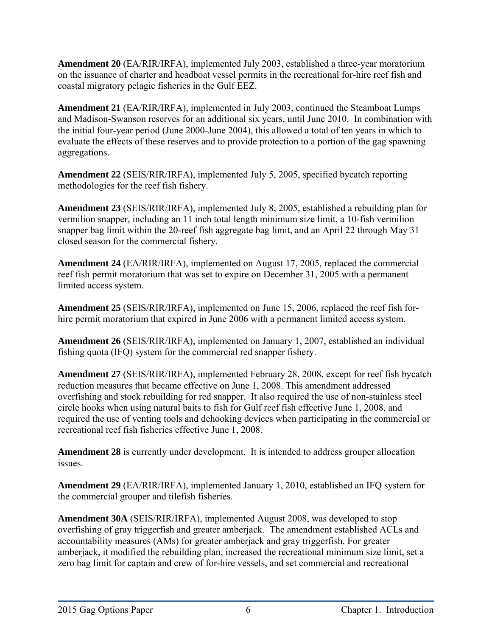**Amendment 20** (EA/RIR/IRFA), implemented July 2003, established a three-year moratorium on the issuance of charter and headboat vessel permits in the recreational for-hire reef fish and coastal migratory pelagic fisheries in the Gulf EEZ.

**Amendment 21** (EA/RIR/IRFA), implemented in July 2003, continued the Steamboat Lumps and Madison-Swanson reserves for an additional six years, until June 2010. In combination with the initial four-year period (June 2000-June 2004), this allowed a total of ten years in which to evaluate the effects of these reserves and to provide protection to a portion of the gag spawning aggregations.

**Amendment 22** (SEIS/RIR/IRFA), implemented July 5, 2005, specified bycatch reporting methodologies for the reef fish fishery.

**Amendment 23** (SEIS/RIR/IRFA), implemented July 8, 2005, established a rebuilding plan for vermilion snapper, including an 11 inch total length minimum size limit, a 10-fish vermilion snapper bag limit within the 20-reef fish aggregate bag limit, and an April 22 through May 31 closed season for the commercial fishery.

**Amendment 24** (EA/RIR/IRFA), implemented on August 17, 2005, replaced the commercial reef fish permit moratorium that was set to expire on December 31, 2005 with a permanent limited access system.

**Amendment 25** (SEIS/RIR/IRFA), implemented on June 15, 2006, replaced the reef fish forhire permit moratorium that expired in June 2006 with a permanent limited access system.

**Amendment 26** (SEIS/RIR/IRFA), implemented on January 1, 2007, established an individual fishing quota (IFQ) system for the commercial red snapper fishery.

**Amendment 27** (SEIS/RIR/IRFA), implemented February 28, 2008, except for reef fish bycatch reduction measures that became effective on June 1, 2008. This amendment addressed overfishing and stock rebuilding for red snapper. It also required the use of non-stainless steel circle hooks when using natural baits to fish for Gulf reef fish effective June 1, 2008, and required the use of venting tools and dehooking devices when participating in the commercial or recreational reef fish fisheries effective June 1, 2008.

**Amendment 28** is currently under development. It is intended to address grouper allocation issues.

**Amendment 29** (EA/RIR/IRFA), implemented January 1, 2010, established an IFQ system for the commercial grouper and tilefish fisheries.

**Amendment 30A** (SEIS/RIR/IRFA), implemented August 2008, was developed to stop overfishing of gray triggerfish and greater amberjack. The amendment established ACLs and accountability measures (AMs) for greater amberjack and gray triggerfish. For greater amberjack, it modified the rebuilding plan, increased the recreational minimum size limit, set a zero bag limit for captain and crew of for-hire vessels, and set commercial and recreational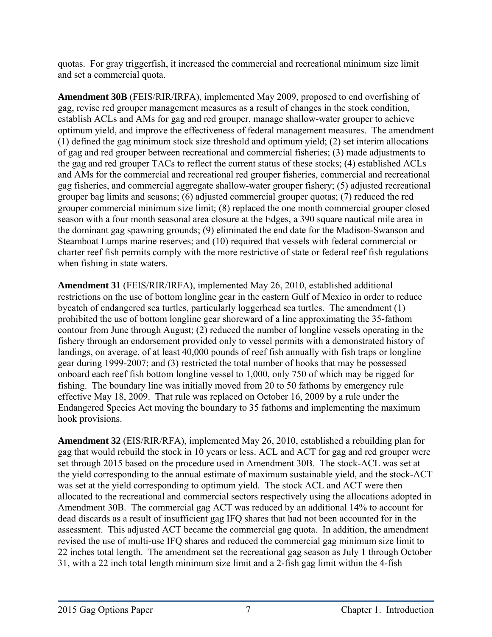quotas. For gray triggerfish, it increased the commercial and recreational minimum size limit and set a commercial quota.

**Amendment 30B** (FEIS/RIR/IRFA), implemented May 2009, proposed to end overfishing of gag, revise red grouper management measures as a result of changes in the stock condition, establish ACLs and AMs for gag and red grouper, manage shallow-water grouper to achieve optimum yield, and improve the effectiveness of federal management measures. The amendment (1) defined the gag minimum stock size threshold and optimum yield; (2) set interim allocations of gag and red grouper between recreational and commercial fisheries; (3) made adjustments to the gag and red grouper TACs to reflect the current status of these stocks; (4) established ACLs and AMs for the commercial and recreational red grouper fisheries, commercial and recreational gag fisheries, and commercial aggregate shallow-water grouper fishery; (5) adjusted recreational grouper bag limits and seasons; (6) adjusted commercial grouper quotas; (7) reduced the red grouper commercial minimum size limit; (8) replaced the one month commercial grouper closed season with a four month seasonal area closure at the Edges, a 390 square nautical mile area in the dominant gag spawning grounds; (9) eliminated the end date for the Madison-Swanson and Steamboat Lumps marine reserves; and (10) required that vessels with federal commercial or charter reef fish permits comply with the more restrictive of state or federal reef fish regulations when fishing in state waters.

**Amendment 31** (FEIS/RIR/IRFA), implemented May 26, 2010, established additional restrictions on the use of bottom longline gear in the eastern Gulf of Mexico in order to reduce bycatch of endangered sea turtles, particularly loggerhead sea turtles. The amendment (1) prohibited the use of bottom longline gear shoreward of a line approximating the 35-fathom contour from June through August; (2) reduced the number of longline vessels operating in the fishery through an endorsement provided only to vessel permits with a demonstrated history of landings, on average, of at least 40,000 pounds of reef fish annually with fish traps or longline gear during 1999-2007; and (3) restricted the total number of hooks that may be possessed onboard each reef fish bottom longline vessel to 1,000, only 750 of which may be rigged for fishing. The boundary line was initially moved from 20 to 50 fathoms by emergency rule effective May 18, 2009. That rule was replaced on October 16, 2009 by a rule under the Endangered Species Act moving the boundary to 35 fathoms and implementing the maximum hook provisions.

**Amendment 32** (EIS/RIR/RFA), implemented May 26, 2010, established a rebuilding plan for gag that would rebuild the stock in 10 years or less. ACL and ACT for gag and red grouper were set through 2015 based on the procedure used in Amendment 30B. The stock-ACL was set at the yield corresponding to the annual estimate of maximum sustainable yield, and the stock-ACT was set at the yield corresponding to optimum yield. The stock ACL and ACT were then allocated to the recreational and commercial sectors respectively using the allocations adopted in Amendment 30B. The commercial gag ACT was reduced by an additional 14% to account for dead discards as a result of insufficient gag IFQ shares that had not been accounted for in the assessment. This adjusted ACT became the commercial gag quota. In addition, the amendment revised the use of multi-use IFQ shares and reduced the commercial gag minimum size limit to 22 inches total length. The amendment set the recreational gag season as July 1 through October 31, with a 22 inch total length minimum size limit and a 2-fish gag limit within the 4-fish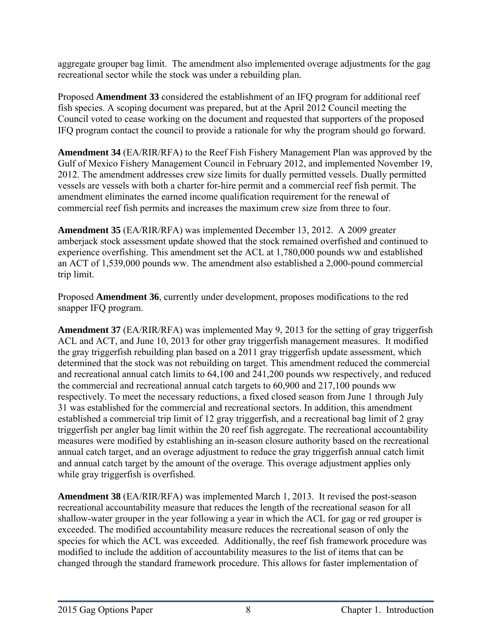aggregate grouper bag limit. The amendment also implemented overage adjustments for the gag recreational sector while the stock was under a rebuilding plan.

Proposed **Amendment 33** considered the establishment of an IFQ program for additional reef fish species. A scoping document was prepared, but at the April 2012 Council meeting the Council voted to cease working on the document and requested that supporters of the proposed IFQ program contact the council to provide a rationale for why the program should go forward.

**Amendment 34** (EA/RIR/RFA) to the Reef Fish Fishery Management Plan was approved by the Gulf of Mexico Fishery Management Council in February 2012, and implemented November 19, 2012. The amendment addresses crew size limits for dually permitted vessels. Dually permitted vessels are vessels with both a charter for-hire permit and a commercial reef fish permit. The amendment eliminates the earned income qualification requirement for the renewal of commercial reef fish permits and increases the maximum crew size from three to four.

**Amendment 35** (EA/RIR/RFA) was implemented December 13, 2012. A 2009 greater amberjack stock assessment update showed that the stock remained overfished and continued to experience overfishing. This amendment set the ACL at 1,780,000 pounds ww and established an ACT of 1,539,000 pounds ww. The amendment also established a 2,000-pound commercial trip limit.

Proposed **Amendment 36**, currently under development, proposes modifications to the red snapper IFQ program.

**Amendment 37** (EA/RIR/RFA) was implemented May 9, 2013 for the setting of gray triggerfish ACL and ACT, and June 10, 2013 for other gray triggerfish management measures. It modified the gray triggerfish rebuilding plan based on a 2011 gray triggerfish update assessment, which determined that the stock was not rebuilding on target. This amendment reduced the commercial and recreational annual catch limits to 64,100 and 241,200 pounds ww respectively, and reduced the commercial and recreational annual catch targets to 60,900 and 217,100 pounds ww respectively. To meet the necessary reductions, a fixed closed season from June 1 through July 31 was established for the commercial and recreational sectors. In addition, this amendment established a commercial trip limit of 12 gray triggerfish, and a recreational bag limit of 2 gray triggerfish per angler bag limit within the 20 reef fish aggregate. The recreational accountability measures were modified by establishing an in-season closure authority based on the recreational annual catch target, and an overage adjustment to reduce the gray triggerfish annual catch limit and annual catch target by the amount of the overage. This overage adjustment applies only while gray triggerfish is overfished.

**Amendment 38** (EA/RIR/RFA) was implemented March 1, 2013. It revised the post-season recreational accountability measure that reduces the length of the recreational season for all shallow-water grouper in the year following a year in which the ACL for gag or red grouper is exceeded. The modified accountability measure reduces the recreational season of only the species for which the ACL was exceeded. Additionally, the reef fish framework procedure was modified to include the addition of accountability measures to the list of items that can be changed through the standard framework procedure. This allows for faster implementation of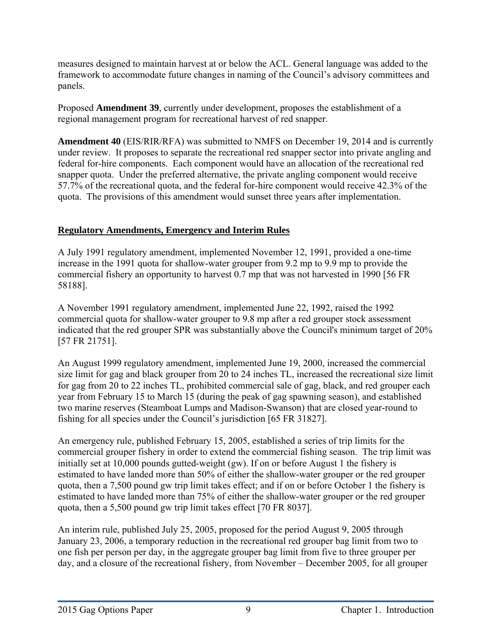measures designed to maintain harvest at or below the ACL. General language was added to the framework to accommodate future changes in naming of the Council's advisory committees and panels.

Proposed **Amendment 39**, currently under development, proposes the establishment of a regional management program for recreational harvest of red snapper.

**Amendment 40** (EIS/RIR/RFA) was submitted to NMFS on December 19, 2014 and is currently under review. It proposes to separate the recreational red snapper sector into private angling and federal for-hire components. Each component would have an allocation of the recreational red snapper quota. Under the preferred alternative, the private angling component would receive 57.7% of the recreational quota, and the federal for-hire component would receive 42.3% of the quota. The provisions of this amendment would sunset three years after implementation.

#### **Regulatory Amendments, Emergency and Interim Rules**

A July 1991 regulatory amendment, implemented November 12, 1991, provided a one-time increase in the 1991 quota for shallow-water grouper from 9.2 mp to 9.9 mp to provide the commercial fishery an opportunity to harvest 0.7 mp that was not harvested in 1990 [56 FR 58188].

A November 1991 regulatory amendment, implemented June 22, 1992, raised the 1992 commercial quota for shallow-water grouper to 9.8 mp after a red grouper stock assessment indicated that the red grouper SPR was substantially above the Council's minimum target of 20% [57 FR 21751].

An August 1999 regulatory amendment, implemented June 19, 2000, increased the commercial size limit for gag and black grouper from 20 to 24 inches TL, increased the recreational size limit for gag from 20 to 22 inches TL, prohibited commercial sale of gag, black, and red grouper each year from February 15 to March 15 (during the peak of gag spawning season), and established two marine reserves (Steamboat Lumps and Madison-Swanson) that are closed year-round to fishing for all species under the Council's jurisdiction [65 FR 31827].

An emergency rule, published February 15, 2005, established a series of trip limits for the commercial grouper fishery in order to extend the commercial fishing season. The trip limit was initially set at 10,000 pounds gutted-weight (gw). If on or before August 1 the fishery is estimated to have landed more than 50% of either the shallow-water grouper or the red grouper quota, then a 7,500 pound gw trip limit takes effect; and if on or before October 1 the fishery is estimated to have landed more than 75% of either the shallow-water grouper or the red grouper quota, then a 5,500 pound gw trip limit takes effect [70 FR 8037].

An interim rule, published July 25, 2005, proposed for the period August 9, 2005 through January 23, 2006, a temporary reduction in the recreational red grouper bag limit from two to one fish per person per day, in the aggregate grouper bag limit from five to three grouper per day, and a closure of the recreational fishery, from November – December 2005, for all grouper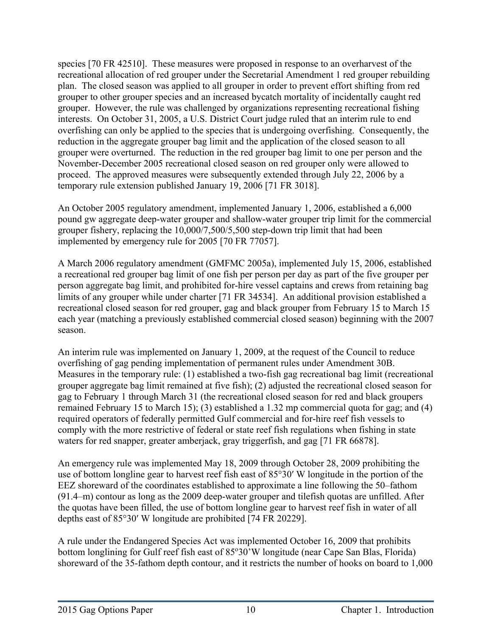species [70 FR 42510]. These measures were proposed in response to an overharvest of the recreational allocation of red grouper under the Secretarial Amendment 1 red grouper rebuilding plan. The closed season was applied to all grouper in order to prevent effort shifting from red grouper to other grouper species and an increased bycatch mortality of incidentally caught red grouper. However, the rule was challenged by organizations representing recreational fishing interests. On October 31, 2005, a U.S. District Court judge ruled that an interim rule to end overfishing can only be applied to the species that is undergoing overfishing. Consequently, the reduction in the aggregate grouper bag limit and the application of the closed season to all grouper were overturned. The reduction in the red grouper bag limit to one per person and the November-December 2005 recreational closed season on red grouper only were allowed to proceed. The approved measures were subsequently extended through July 22, 2006 by a temporary rule extension published January 19, 2006 [71 FR 3018].

An October 2005 regulatory amendment, implemented January 1, 2006, established a 6,000 pound gw aggregate deep-water grouper and shallow-water grouper trip limit for the commercial grouper fishery, replacing the 10,000/7,500/5,500 step-down trip limit that had been implemented by emergency rule for 2005 [70 FR 77057].

A March 2006 regulatory amendment (GMFMC 2005a), implemented July 15, 2006, established a recreational red grouper bag limit of one fish per person per day as part of the five grouper per person aggregate bag limit, and prohibited for-hire vessel captains and crews from retaining bag limits of any grouper while under charter [71 FR 34534]. An additional provision established a recreational closed season for red grouper, gag and black grouper from February 15 to March 15 each year (matching a previously established commercial closed season) beginning with the 2007 season.

An interim rule was implemented on January 1, 2009, at the request of the Council to reduce overfishing of gag pending implementation of permanent rules under Amendment 30B. Measures in the temporary rule: (1) established a two-fish gag recreational bag limit (recreational grouper aggregate bag limit remained at five fish); (2) adjusted the recreational closed season for gag to February 1 through March 31 (the recreational closed season for red and black groupers remained February 15 to March 15); (3) established a 1.32 mp commercial quota for gag; and (4) required operators of federally permitted Gulf commercial and for-hire reef fish vessels to comply with the more restrictive of federal or state reef fish regulations when fishing in state waters for red snapper, greater amberjack, gray triggerfish, and gag [71 FR 66878].

An emergency rule was implemented May 18, 2009 through October 28, 2009 prohibiting the use of bottom longline gear to harvest reef fish east of 85°30′ W longitude in the portion of the EEZ shoreward of the coordinates established to approximate a line following the 50–fathom (91.4–m) contour as long as the 2009 deep-water grouper and tilefish quotas are unfilled. After the quotas have been filled, the use of bottom longline gear to harvest reef fish in water of all depths east of 85°30′ W longitude are prohibited [74 FR 20229].

A rule under the Endangered Species Act was implemented October 16, 2009 that prohibits bottom longlining for Gulf reef fish east of 85°30'W longitude (near Cape San Blas, Florida) shoreward of the 35-fathom depth contour, and it restricts the number of hooks on board to 1,000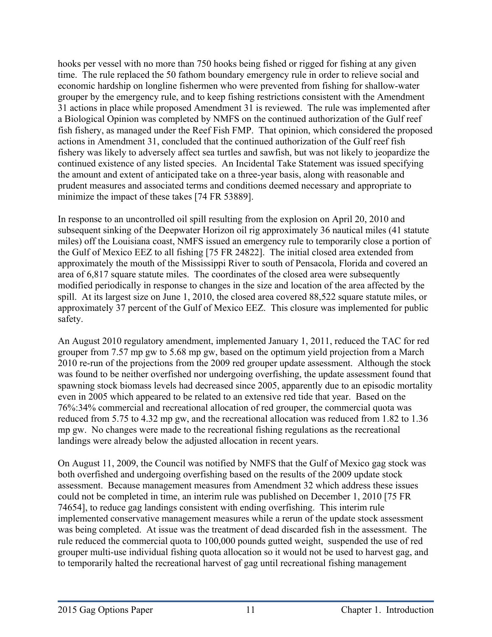hooks per vessel with no more than 750 hooks being fished or rigged for fishing at any given time. The rule replaced the 50 fathom boundary emergency rule in order to relieve social and economic hardship on longline fishermen who were prevented from fishing for shallow-water grouper by the emergency rule, and to keep fishing restrictions consistent with the Amendment 31 actions in place while proposed Amendment 31 is reviewed. The rule was implemented after a Biological Opinion was completed by NMFS on the continued authorization of the Gulf reef fish fishery, as managed under the Reef Fish FMP. That opinion, which considered the proposed actions in Amendment 31, concluded that the continued authorization of the Gulf reef fish fishery was likely to adversely affect sea turtles and sawfish, but was not likely to jeopardize the continued existence of any listed species. An Incidental Take Statement was issued specifying the amount and extent of anticipated take on a three-year basis, along with reasonable and prudent measures and associated terms and conditions deemed necessary and appropriate to minimize the impact of these takes [74 FR 53889].

In response to an uncontrolled oil spill resulting from the explosion on April 20, 2010 and subsequent sinking of the Deepwater Horizon oil rig approximately 36 nautical miles (41 statute miles) off the Louisiana coast, NMFS issued an emergency rule to temporarily close a portion of the Gulf of Mexico EEZ to all fishing [75 FR 24822]. The initial closed area extended from approximately the mouth of the Mississippi River to south of Pensacola, Florida and covered an area of 6,817 square statute miles. The coordinates of the closed area were subsequently modified periodically in response to changes in the size and location of the area affected by the spill. At its largest size on June 1, 2010, the closed area covered 88,522 square statute miles, or approximately 37 percent of the Gulf of Mexico EEZ. This closure was implemented for public safety.

An August 2010 regulatory amendment, implemented January 1, 2011, reduced the TAC for red grouper from 7.57 mp gw to 5.68 mp gw, based on the optimum yield projection from a March 2010 re-run of the projections from the 2009 red grouper update assessment. Although the stock was found to be neither overfished nor undergoing overfishing, the update assessment found that spawning stock biomass levels had decreased since 2005, apparently due to an episodic mortality even in 2005 which appeared to be related to an extensive red tide that year. Based on the 76%:34% commercial and recreational allocation of red grouper, the commercial quota was reduced from 5.75 to 4.32 mp gw, and the recreational allocation was reduced from 1.82 to 1.36 mp gw. No changes were made to the recreational fishing regulations as the recreational landings were already below the adjusted allocation in recent years.

On August 11, 2009, the Council was notified by NMFS that the Gulf of Mexico gag stock was both overfished and undergoing overfishing based on the results of the 2009 update stock assessment. Because management measures from Amendment 32 which address these issues could not be completed in time, an interim rule was published on December 1, 2010 [75 FR 74654], to reduce gag landings consistent with ending overfishing. This interim rule implemented conservative management measures while a rerun of the update stock assessment was being completed. At issue was the treatment of dead discarded fish in the assessment. The rule reduced the commercial quota to 100,000 pounds gutted weight, suspended the use of red grouper multi-use individual fishing quota allocation so it would not be used to harvest gag, and to temporarily halted the recreational harvest of gag until recreational fishing management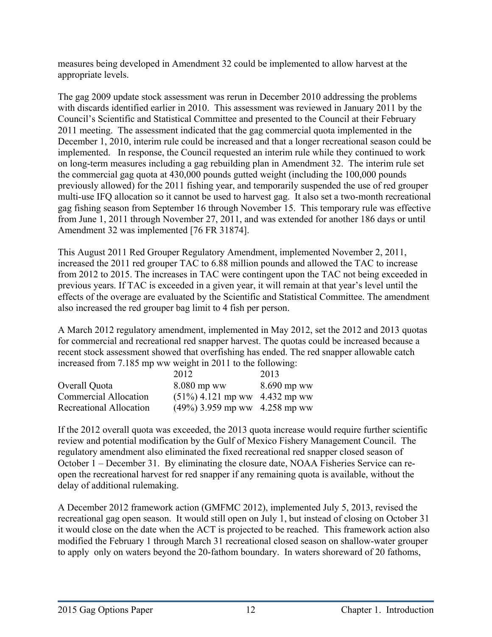measures being developed in Amendment 32 could be implemented to allow harvest at the appropriate levels.

The gag 2009 update stock assessment was rerun in December 2010 addressing the problems with discards identified earlier in 2010. This assessment was reviewed in January 2011 by the Council's Scientific and Statistical Committee and presented to the Council at their February 2011 meeting. The assessment indicated that the gag commercial quota implemented in the December 1, 2010, interim rule could be increased and that a longer recreational season could be implemented. In response, the Council requested an interim rule while they continued to work on long-term measures including a gag rebuilding plan in Amendment 32. The interim rule set the commercial gag quota at 430,000 pounds gutted weight (including the 100,000 pounds previously allowed) for the 2011 fishing year, and temporarily suspended the use of red grouper multi-use IFQ allocation so it cannot be used to harvest gag. It also set a two-month recreational gag fishing season from September 16 through November 15. This temporary rule was effective from June 1, 2011 through November 27, 2011, and was extended for another 186 days or until Amendment 32 was implemented [76 FR 31874].

This August 2011 Red Grouper Regulatory Amendment, implemented November 2, 2011, increased the 2011 red grouper TAC to 6.88 million pounds and allowed the TAC to increase from 2012 to 2015. The increases in TAC were contingent upon the TAC not being exceeded in previous years. If TAC is exceeded in a given year, it will remain at that year's level until the effects of the overage are evaluated by the Scientific and Statistical Committee. The amendment also increased the red grouper bag limit to 4 fish per person.

A March 2012 regulatory amendment, implemented in May 2012, set the 2012 and 2013 quotas for commercial and recreational red snapper harvest. The quotas could be increased because a recent stock assessment showed that overfishing has ended. The red snapper allowable catch increased from 7.185 mp ww weight in 2011 to the following:

|                              | 2012                             | 2013        |
|------------------------------|----------------------------------|-------------|
| Overall Quota                | $8.080$ mp ww                    | 8.690 mp ww |
| <b>Commercial Allocation</b> | $(51\%)$ 4.121 mp ww 4.432 mp ww |             |
| Recreational Allocation      | $(49\%)$ 3.959 mp ww 4.258 mp ww |             |

If the 2012 overall quota was exceeded, the 2013 quota increase would require further scientific review and potential modification by the Gulf of Mexico Fishery Management Council. The regulatory amendment also eliminated the fixed recreational red snapper closed season of October 1 – December 31. By eliminating the closure date, NOAA Fisheries Service can reopen the recreational harvest for red snapper if any remaining quota is available, without the delay of additional rulemaking.

A December 2012 framework action (GMFMC 2012), implemented July 5, 2013, revised the recreational gag open season. It would still open on July 1, but instead of closing on October 31 it would close on the date when the ACT is projected to be reached. This framework action also modified the February 1 through March 31 recreational closed season on shallow-water grouper to apply only on waters beyond the 20-fathom boundary. In waters shoreward of 20 fathoms,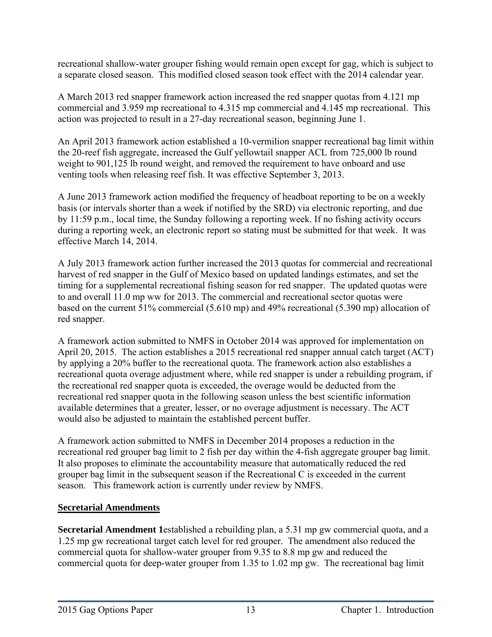recreational shallow-water grouper fishing would remain open except for gag, which is subject to a separate closed season. This modified closed season took effect with the 2014 calendar year.

A March 2013 red snapper framework action increased the red snapper quotas from 4.121 mp commercial and 3.959 mp recreational to 4.315 mp commercial and 4.145 mp recreational. This action was projected to result in a 27-day recreational season, beginning June 1.

An April 2013 framework action established a 10-vermilion snapper recreational bag limit within the 20-reef fish aggregate, increased the Gulf yellowtail snapper ACL from 725,000 lb round weight to 901,125 lb round weight, and removed the requirement to have onboard and use venting tools when releasing reef fish. It was effective September 3, 2013.

A June 2013 framework action modified the frequency of headboat reporting to be on a weekly basis (or intervals shorter than a week if notified by the SRD) via electronic reporting, and due by 11:59 p.m., local time, the Sunday following a reporting week. If no fishing activity occurs during a reporting week, an electronic report so stating must be submitted for that week. It was effective March 14, 2014.

A July 2013 framework action further increased the 2013 quotas for commercial and recreational harvest of red snapper in the Gulf of Mexico based on updated landings estimates, and set the timing for a supplemental recreational fishing season for red snapper. The updated quotas were to and overall 11.0 mp ww for 2013. The commercial and recreational sector quotas were based on the current 51% commercial (5.610 mp) and 49% recreational (5.390 mp) allocation of red snapper.

A framework action submitted to NMFS in October 2014 was approved for implementation on April 20, 2015. The action establishes a 2015 recreational red snapper annual catch target (ACT) by applying a 20% buffer to the recreational quota. The framework action also establishes a recreational quota overage adjustment where, while red snapper is under a rebuilding program, if the recreational red snapper quota is exceeded, the overage would be deducted from the recreational red snapper quota in the following season unless the best scientific information available determines that a greater, lesser, or no overage adjustment is necessary. The ACT would also be adjusted to maintain the established percent buffer.

A framework action submitted to NMFS in December 2014 proposes a reduction in the recreational red grouper bag limit to 2 fish per day within the 4-fish aggregate grouper bag limit. It also proposes to eliminate the accountability measure that automatically reduced the red grouper bag limit in the subsequent season if the Recreational C is exceeded in the current season. This framework action is currently under review by NMFS.

#### **Secretarial Amendments**

**Secretarial Amendment 1**established a rebuilding plan, a 5.31 mp gw commercial quota, and a 1.25 mp gw recreational target catch level for red grouper. The amendment also reduced the commercial quota for shallow-water grouper from 9.35 to 8.8 mp gw and reduced the commercial quota for deep-water grouper from 1.35 to 1.02 mp gw. The recreational bag limit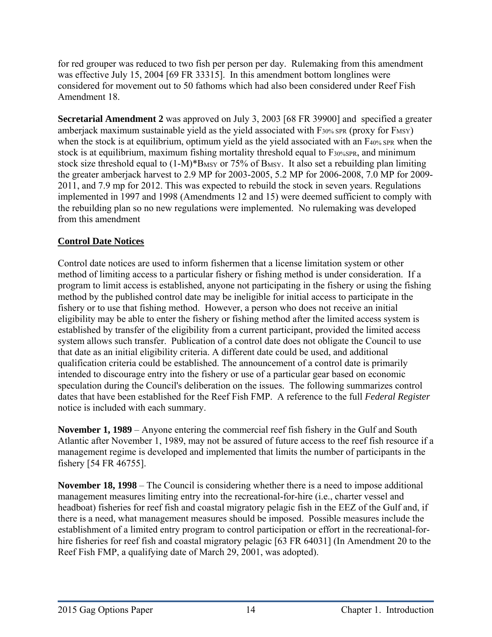for red grouper was reduced to two fish per person per day. Rulemaking from this amendment was effective July 15, 2004 [69 FR 33315]. In this amendment bottom longlines were considered for movement out to 50 fathoms which had also been considered under Reef Fish Amendment 18.

**Secretarial Amendment 2** was approved on July 3, 2003 [68 FR 39900] and specified a greater amberjack maximum sustainable yield as the yield associated with  $F_{30\%}$  spr (proxy for  $F_{MSY}$ ) when the stock is at equilibrium, optimum yield as the yield associated with an F40% SPR when the stock is at equilibrium, maximum fishing mortality threshold equal to F30%SPR, and minimum stock size threshold equal to  $(1-M)^*B_{MSY}$  or 75% of B<sub>MSY</sub>. It also set a rebuilding plan limiting the greater amberjack harvest to 2.9 MP for 2003-2005, 5.2 MP for 2006-2008, 7.0 MP for 2009- 2011, and 7.9 mp for 2012. This was expected to rebuild the stock in seven years. Regulations implemented in 1997 and 1998 (Amendments 12 and 15) were deemed sufficient to comply with the rebuilding plan so no new regulations were implemented. No rulemaking was developed from this amendment

#### **Control Date Notices**

Control date notices are used to inform fishermen that a license limitation system or other method of limiting access to a particular fishery or fishing method is under consideration. If a program to limit access is established, anyone not participating in the fishery or using the fishing method by the published control date may be ineligible for initial access to participate in the fishery or to use that fishing method. However, a person who does not receive an initial eligibility may be able to enter the fishery or fishing method after the limited access system is established by transfer of the eligibility from a current participant, provided the limited access system allows such transfer. Publication of a control date does not obligate the Council to use that date as an initial eligibility criteria. A different date could be used, and additional qualification criteria could be established. The announcement of a control date is primarily intended to discourage entry into the fishery or use of a particular gear based on economic speculation during the Council's deliberation on the issues. The following summarizes control dates that have been established for the Reef Fish FMP. A reference to the full *Federal Register* notice is included with each summary.

**November 1, 1989** – Anyone entering the commercial reef fish fishery in the Gulf and South Atlantic after November 1, 1989, may not be assured of future access to the reef fish resource if a management regime is developed and implemented that limits the number of participants in the fishery [54 FR 46755].

**November 18, 1998** – The Council is considering whether there is a need to impose additional management measures limiting entry into the recreational-for-hire (i.e., charter vessel and headboat) fisheries for reef fish and coastal migratory pelagic fish in the EEZ of the Gulf and, if there is a need, what management measures should be imposed. Possible measures include the establishment of a limited entry program to control participation or effort in the recreational-forhire fisheries for reef fish and coastal migratory pelagic [63 FR 64031] (In Amendment 20 to the Reef Fish FMP, a qualifying date of March 29, 2001, was adopted).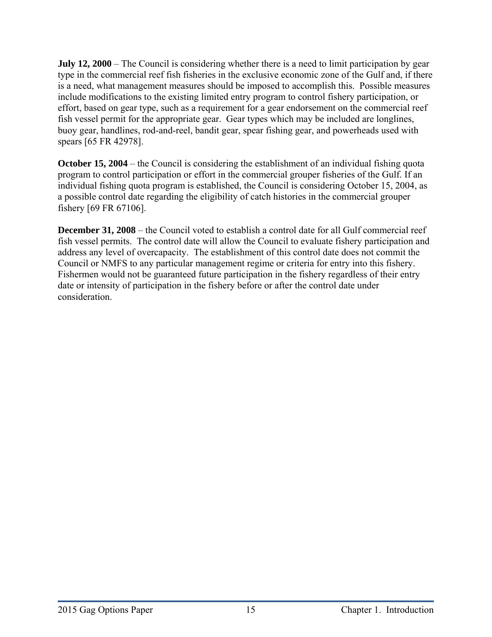**July 12, 2000** – The Council is considering whether there is a need to limit participation by gear type in the commercial reef fish fisheries in the exclusive economic zone of the Gulf and, if there is a need, what management measures should be imposed to accomplish this. Possible measures include modifications to the existing limited entry program to control fishery participation, or effort, based on gear type, such as a requirement for a gear endorsement on the commercial reef fish vessel permit for the appropriate gear. Gear types which may be included are longlines, buoy gear, handlines, rod-and-reel, bandit gear, spear fishing gear, and powerheads used with spears [65 FR 42978].

**October 15, 2004** – the Council is considering the establishment of an individual fishing quota program to control participation or effort in the commercial grouper fisheries of the Gulf. If an individual fishing quota program is established, the Council is considering October 15, 2004, as a possible control date regarding the eligibility of catch histories in the commercial grouper fishery [69 FR 67106].

**December 31, 2008** – the Council voted to establish a control date for all Gulf commercial reef fish vessel permits. The control date will allow the Council to evaluate fishery participation and address any level of overcapacity. The establishment of this control date does not commit the Council or NMFS to any particular management regime or criteria for entry into this fishery. Fishermen would not be guaranteed future participation in the fishery regardless of their entry date or intensity of participation in the fishery before or after the control date under consideration.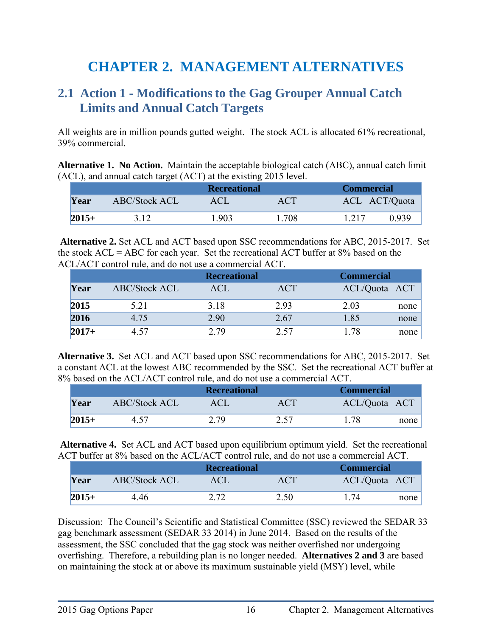# **CHAPTER 2. MANAGEMENT ALTERNATIVES**

### **2.1 Action 1 - Modifications to the Gag Grouper Annual Catch Limits and Annual Catch Targets**

All weights are in million pounds gutted weight. The stock ACL is allocated 61% recreational, 39% commercial.

**Alternative 1. No Action.** Maintain the acceptable biological catch (ABC), annual catch limit (ACL), and annual catch target (ACT) at the existing 2015 level.

|         |                      | <b>Recreational</b> | <b>Commercial</b> |               |       |
|---------|----------------------|---------------------|-------------------|---------------|-------|
| Year    | <b>ABC/Stock ACL</b> | ACI.                | ACT               | ACL ACT/Quota |       |
| $2015+$ | 3.12                 | 903                 | .708              |               | በ 939 |

 **Alternative 2.** Set ACL and ACT based upon SSC recommendations for ABC, 2015-2017. Set the stock  $ACL = ABC$  for each year. Set the recreational  $ACT$  buffer at 8% based on the ACL/ACT control rule, and do not use a commercial ACT.

|         |                      | <b>Recreational</b> |      |               | <b>Commercial</b> |  |
|---------|----------------------|---------------------|------|---------------|-------------------|--|
| Year    | <b>ABC/Stock ACL</b> | ACL                 | ACT  | ACL/Quota ACT |                   |  |
| 2015    | 5.21                 | 3.18                | 2.93 | 2.03          | none              |  |
| 2016    | 4.75                 | 2.90                | 2.67 | 1.85          | none              |  |
| $2017+$ | 4 57                 | 2.79                | 2.57 | 178           | none              |  |

**Alternative 3.** Set ACL and ACT based upon SSC recommendations for ABC, 2015-2017. Set a constant ACL at the lowest ABC recommended by the SSC. Set the recreational ACT buffer at 8% based on the ACL/ACT control rule, and do not use a commercial ACT.

|         |                      | <b>Recreational</b> |      | <b>Commercial</b> |      |
|---------|----------------------|---------------------|------|-------------------|------|
| Year    | <b>ABC/Stock ACL</b> |                     | ACT  | ACL/Quota ACT     |      |
| $2015+$ | 4 57                 | 2.79                | 2.57 |                   | none |

 **Alternative 4.** Set ACL and ACT based upon equilibrium optimum yield. Set the recreational ACT buffer at 8% based on the ACL/ACT control rule, and do not use a commercial ACT.

|         |                      | <b>Recreational</b> | <b>Commercial</b> |               |      |
|---------|----------------------|---------------------|-------------------|---------------|------|
| Year    | <b>ABC/Stock ACL</b> |                     | ACT               | ACL/Quota ACT |      |
| $2015+$ | 4 46                 | C 7 7 7             | 2.50              |               | none |

Discussion: The Council's Scientific and Statistical Committee (SSC) reviewed the SEDAR 33 gag benchmark assessment (SEDAR 33 2014) in June 2014. Based on the results of the assessment, the SSC concluded that the gag stock was neither overfished nor undergoing overfishing. Therefore, a rebuilding plan is no longer needed. **Alternatives 2 and 3** are based on maintaining the stock at or above its maximum sustainable yield (MSY) level, while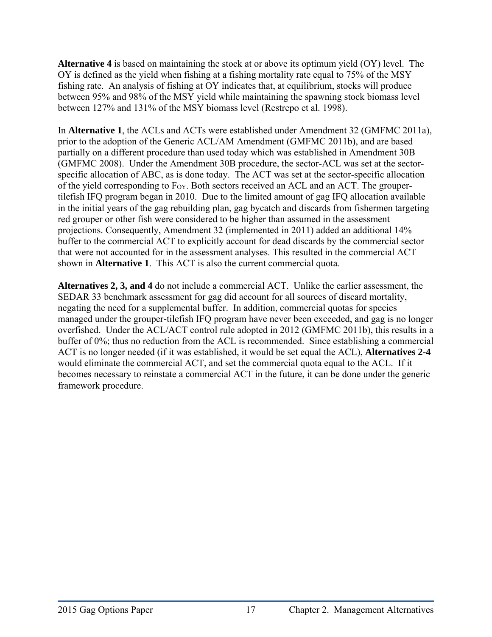**Alternative 4** is based on maintaining the stock at or above its optimum yield (OY) level. The OY is defined as the yield when fishing at a fishing mortality rate equal to 75% of the MSY fishing rate. An analysis of fishing at OY indicates that, at equilibrium, stocks will produce between 95% and 98% of the MSY yield while maintaining the spawning stock biomass level between 127% and 131% of the MSY biomass level (Restrepo et al. 1998).

In **Alternative 1**, the ACLs and ACTs were established under Amendment 32 (GMFMC 2011a), prior to the adoption of the Generic ACL/AM Amendment (GMFMC 2011b), and are based partially on a different procedure than used today which was established in Amendment 30B (GMFMC 2008). Under the Amendment 30B procedure, the sector-ACL was set at the sectorspecific allocation of ABC, as is done today. The ACT was set at the sector-specific allocation of the yield corresponding to F<sub>OY</sub>. Both sectors received an ACL and an ACT. The groupertilefish IFQ program began in 2010. Due to the limited amount of gag IFQ allocation available in the initial years of the gag rebuilding plan, gag bycatch and discards from fishermen targeting red grouper or other fish were considered to be higher than assumed in the assessment projections. Consequently, Amendment 32 (implemented in 2011) added an additional 14% buffer to the commercial ACT to explicitly account for dead discards by the commercial sector that were not accounted for in the assessment analyses. This resulted in the commercial ACT shown in **Alternative 1**. This ACT is also the current commercial quota.

**Alternatives 2, 3, and 4** do not include a commercial ACT. Unlike the earlier assessment, the SEDAR 33 benchmark assessment for gag did account for all sources of discard mortality, negating the need for a supplemental buffer. In addition, commercial quotas for species managed under the grouper-tilefish IFQ program have never been exceeded, and gag is no longer overfished. Under the ACL/ACT control rule adopted in 2012 (GMFMC 2011b), this results in a buffer of 0%; thus no reduction from the ACL is recommended. Since establishing a commercial ACT is no longer needed (if it was established, it would be set equal the ACL), **Alternatives 2-4** would eliminate the commercial ACT, and set the commercial quota equal to the ACL. If it becomes necessary to reinstate a commercial ACT in the future, it can be done under the generic framework procedure.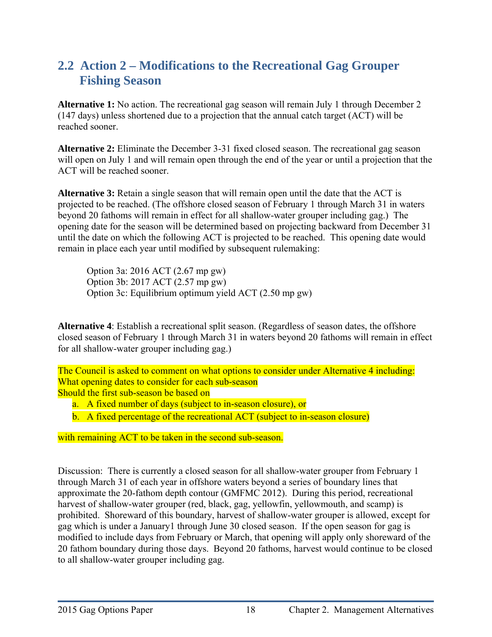### **2.2 Action 2 – Modifications to the Recreational Gag Grouper Fishing Season**

**Alternative 1:** No action. The recreational gag season will remain July 1 through December 2 (147 days) unless shortened due to a projection that the annual catch target (ACT) will be reached sooner.

**Alternative 2:** Eliminate the December 3-31 fixed closed season. The recreational gag season will open on July 1 and will remain open through the end of the year or until a projection that the ACT will be reached sooner.

**Alternative 3:** Retain a single season that will remain open until the date that the ACT is projected to be reached. (The offshore closed season of February 1 through March 31 in waters beyond 20 fathoms will remain in effect for all shallow-water grouper including gag.) The opening date for the season will be determined based on projecting backward from December 31 until the date on which the following ACT is projected to be reached. This opening date would remain in place each year until modified by subsequent rulemaking:

 Option 3a: 2016 ACT (2.67 mp gw) Option 3b: 2017 ACT (2.57 mp gw) Option 3c: Equilibrium optimum yield ACT (2.50 mp gw)

**Alternative 4**: Establish a recreational split season. (Regardless of season dates, the offshore closed season of February 1 through March 31 in waters beyond 20 fathoms will remain in effect for all shallow-water grouper including gag.)

The Council is asked to comment on what options to consider under Alternative 4 including: What opening dates to consider for each sub-season Should the first sub-season be based on

- a. A fixed number of days (subject to in-season closure), or
- b. A fixed percentage of the recreational ACT (subject to in-season closure)

with remaining ACT to be taken in the second sub-season.

Discussion: There is currently a closed season for all shallow-water grouper from February 1 through March 31 of each year in offshore waters beyond a series of boundary lines that approximate the 20-fathom depth contour (GMFMC 2012). During this period, recreational harvest of shallow-water grouper (red, black, gag, yellowfin, yellowmouth, and scamp) is prohibited. Shoreward of this boundary, harvest of shallow-water grouper is allowed, except for gag which is under a January1 through June 30 closed season. If the open season for gag is modified to include days from February or March, that opening will apply only shoreward of the 20 fathom boundary during those days. Beyond 20 fathoms, harvest would continue to be closed to all shallow-water grouper including gag.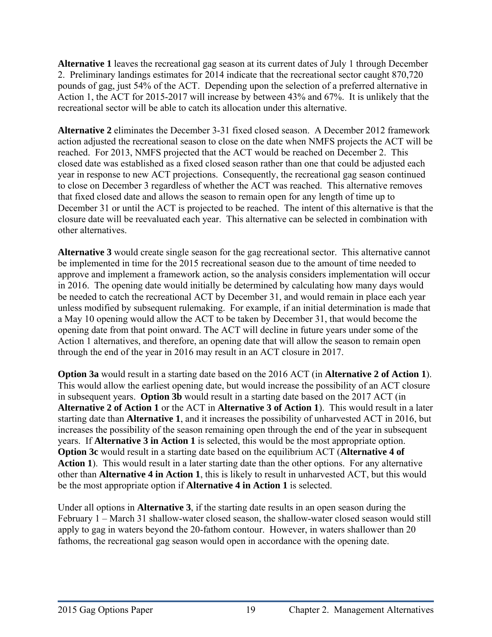**Alternative 1** leaves the recreational gag season at its current dates of July 1 through December 2. Preliminary landings estimates for 2014 indicate that the recreational sector caught 870,720 pounds of gag, just 54% of the ACT. Depending upon the selection of a preferred alternative in Action 1, the ACT for 2015-2017 will increase by between 43% and 67%. It is unlikely that the recreational sector will be able to catch its allocation under this alternative.

**Alternative 2** eliminates the December 3-31 fixed closed season. A December 2012 framework action adjusted the recreational season to close on the date when NMFS projects the ACT will be reached. For 2013, NMFS projected that the ACT would be reached on December 2. This closed date was established as a fixed closed season rather than one that could be adjusted each year in response to new ACT projections. Consequently, the recreational gag season continued to close on December 3 regardless of whether the ACT was reached. This alternative removes that fixed closed date and allows the season to remain open for any length of time up to December 31 or until the ACT is projected to be reached. The intent of this alternative is that the closure date will be reevaluated each year. This alternative can be selected in combination with other alternatives.

**Alternative 3** would create single season for the gag recreational sector. This alternative cannot be implemented in time for the 2015 recreational season due to the amount of time needed to approve and implement a framework action, so the analysis considers implementation will occur in 2016. The opening date would initially be determined by calculating how many days would be needed to catch the recreational ACT by December 31, and would remain in place each year unless modified by subsequent rulemaking. For example, if an initial determination is made that a May 10 opening would allow the ACT to be taken by December 31, that would become the opening date from that point onward. The ACT will decline in future years under some of the Action 1 alternatives, and therefore, an opening date that will allow the season to remain open through the end of the year in 2016 may result in an ACT closure in 2017.

**Option 3a** would result in a starting date based on the 2016 ACT (in **Alternative 2 of Action 1**). This would allow the earliest opening date, but would increase the possibility of an ACT closure in subsequent years. **Option 3b** would result in a starting date based on the 2017 ACT (in **Alternative 2 of Action 1** or the ACT in **Alternative 3 of Action 1**). This would result in a later starting date than **Alternative 1**, and it increases the possibility of unharvested ACT in 2016, but increases the possibility of the season remaining open through the end of the year in subsequent years. If **Alternative 3 in Action 1** is selected, this would be the most appropriate option. **Option 3c** would result in a starting date based on the equilibrium ACT (**Alternative 4 of**  Action 1). This would result in a later starting date than the other options. For any alternative other than **Alternative 4 in Action 1**, this is likely to result in unharvested ACT, but this would be the most appropriate option if **Alternative 4 in Action 1** is selected.

Under all options in **Alternative 3**, if the starting date results in an open season during the February 1 – March 31 shallow-water closed season, the shallow-water closed season would still apply to gag in waters beyond the 20-fathom contour. However, in waters shallower than 20 fathoms, the recreational gag season would open in accordance with the opening date.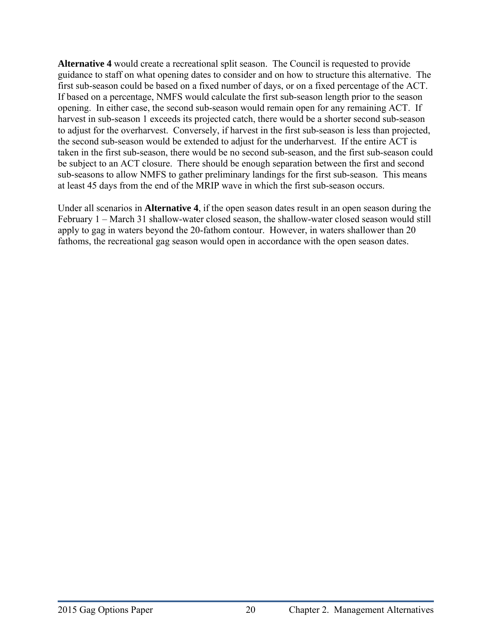**Alternative 4** would create a recreational split season. The Council is requested to provide guidance to staff on what opening dates to consider and on how to structure this alternative. The first sub-season could be based on a fixed number of days, or on a fixed percentage of the ACT. If based on a percentage, NMFS would calculate the first sub-season length prior to the season opening. In either case, the second sub-season would remain open for any remaining ACT. If harvest in sub-season 1 exceeds its projected catch, there would be a shorter second sub-season to adjust for the overharvest. Conversely, if harvest in the first sub-season is less than projected, the second sub-season would be extended to adjust for the underharvest. If the entire ACT is taken in the first sub-season, there would be no second sub-season, and the first sub-season could be subject to an ACT closure. There should be enough separation between the first and second sub-seasons to allow NMFS to gather preliminary landings for the first sub-season. This means at least 45 days from the end of the MRIP wave in which the first sub-season occurs.

Under all scenarios in **Alternative 4**, if the open season dates result in an open season during the February 1 – March 31 shallow-water closed season, the shallow-water closed season would still apply to gag in waters beyond the 20-fathom contour. However, in waters shallower than 20 fathoms, the recreational gag season would open in accordance with the open season dates.